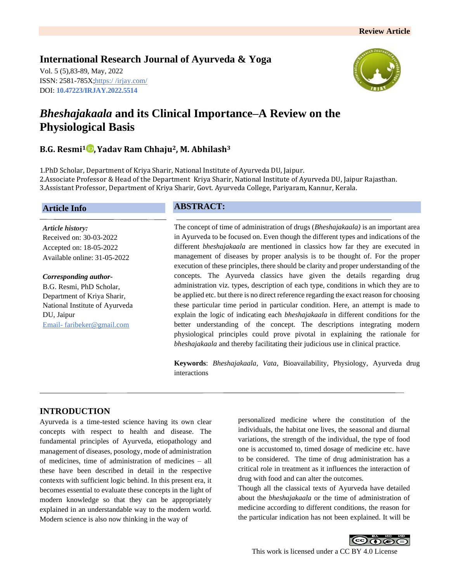# **International Research Journal of Ayurveda & Yoga**

Vol. 5 (5),83-89, May, 2022 ISSN: 2581-785X; https:/ [/irjay.com/](https://irjay.com/) DOI: **10.47223/IRJAY.2022.5514**



# *Bheshajakaala* **and its Clinical Importance–A Review on the Physiological Basis**

# **B.G. Resmi<sup>1</sup> ,Yadav Ram Chhaju2, M. Abhilash<sup>3</sup>**

1.PhD Scholar, Department of Kriya Sharir, National Institute of Ayurveda DU, Jaipur. 2.Associate Professor & Head of the Department Kriya Sharir, National Institute of Ayurveda DU, Jaipur Rajasthan. 3.Assistant Professor, Department of Kriya Sharir, Govt. Ayurveda College, Pariyaram, Kannur, Kerala.

### **Article Info**

*Article history:* Received on: 30-03-2022 Accepted on: 18-05-2022 Available online: 31-05-2022

#### *Corresponding author-*

B.G. Resmi, PhD Scholar, Department of Kriya Sharir, National Institute of Ayurveda DU, Jaipur Email- faribeker@gmail.com

# **ABSTRACT:**

The concept of time of administration of drugs (*Bheshajakaala)* is an important area in Ayurveda to be focused on. Even though the different types and indications of the different *bheshajakaala* are mentioned in classics how far they are executed in management of diseases by proper analysis is to be thought of. For the proper execution of these principles, there should be clarity and proper understanding of the concepts. The Ayurveda classics have given the details regarding drug administration viz. types, description of each type, conditions in which they are to be applied etc. but there is no direct reference regarding the exact reason for choosing these particular time period in particular condition. Here, an attempt is made to explain the logic of indicating each *bheshajakaala* in different conditions for the better understanding of the concept. The descriptions integrating modern physiological principles could prove pivotal in explaining the rationale for *bheshajakaala* and thereby facilitating their judicious use in clinical practice.

**Keywords**: *Bheshajakaala*, *Vata*, Bioavailability, Physiology, Ayurveda drug interactions

# **INTRODUCTION**

Ayurveda is a time-tested science having its own clear concepts with respect to health and disease. The fundamental principles of Ayurveda, etiopathology and management of diseases, posology, mode of administration of medicines, time of administration of medicines – all these have been described in detail in the respective contexts with sufficient logic behind. In this present era, it becomes essential to evaluate these concepts in the light of modern knowledge so that they can be appropriately explained in an understandable way to the modern world. Modern science is also now thinking in the way of

personalized medicine where the constitution of the individuals, the habitat one lives, the seasonal and diurnal variations, the strength of the individual, the type of food one is accustomed to, timed dosage of medicine etc. have to be considered. The time of drug administration has a critical role in treatment as it influences the interaction of drug with food and can alter the outcomes.

Though all the classical texts of Ayurveda have detailed about the *bheshajakaala* or the time of administration of medicine according to different conditions, the reason for the particular indication has not been explained. It will be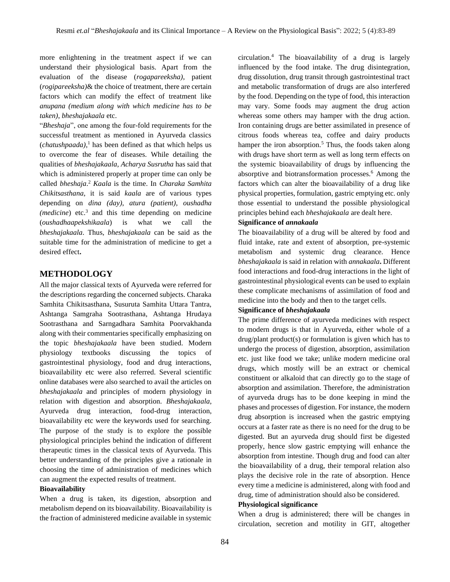more enlightening in the treatment aspect if we can understand their physiological basis. Apart from the evaluation of the disease (*rogapareeksha)*, patient (*rogipareeksha)*& the choice of treatment, there are certain factors which can modify the effect of treatment like *anupana (medium along with which medicine has to be taken)*, *bheshajakaala* etc.

"*Bheshaja*", one among the four-fold requirements for the successful treatment as mentioned in Ayurveda classics (*chatushpaada)*, <sup>1</sup> has been defined as that which helps us to overcome the fear of diseases. While detailing the qualities of *bheshajakaala*, *Acharya Susrutha* has said that which is administered properly at proper time can only be called *bheshaja*. <sup>2</sup> *Kaala* is the time. In *Charaka Samhita Chikitsasthana*, it is said *kaala* are of various types depending on *dina (day)*, *atura (patient)*, *oushadha (medicine*) etc.<sup>3</sup> and this time depending on medicine (*oushadhaapekshikaala*) is what we call the *bheshajakaala*. Thus, *bheshajakaala* can be said as the suitable time for the administration of medicine to get a desired effect**.**

### **METHODOLOGY**

All the major classical texts of Ayurveda were referred for the descriptions regarding the concerned subjects. Charaka Samhita Chikitsasthana, Susuruta Samhita Uttara Tantra, Ashtanga Samgraha Sootrasthana, Ashtanga Hrudaya Sootrasthana and Sarngadhara Samhita Poorvakhanda along with their commentaries specifically emphasizing on the topic *bheshajakaala* have been studied. Modern physiology textbooks discussing the topics of gastrointestinal physiology, food and drug interactions, bioavailability etc were also referred. Several scientific online databases were also searched to avail the articles on *bheshajakaala* and principles of modern physiology in relation with digestion and absorption. *Bheshajakaala*, Ayurveda drug interaction, food-drug interaction, bioavailability etc were the keywords used for searching. The purpose of the study is to explore the possible physiological principles behind the indication of different therapeutic times in the classical texts of Ayurveda. This better understanding of the principles give a rationale in choosing the time of administration of medicines which can augment the expected results of treatment.

#### **Bioavailability**

When a drug is taken, its digestion, absorption and metabolism depend on its bioavailability. Bioavailability is the fraction of administered medicine available in systemic

circulation.<sup>4</sup> The bioavailability of a drug is largely influenced by the food intake. The drug disintegration, drug dissolution, drug transit through gastrointestinal tract and metabolic transformation of drugs are also interfered by the food. Depending on the type of food, this interaction may vary. Some foods may augment the drug action whereas some others may hamper with the drug action. Iron containing drugs are better assimilated in presence of citrous foods whereas tea, coffee and dairy products hamper the iron absorption.<sup>5</sup> Thus, the foods taken along with drugs have short term as well as long term effects on the systemic bioavailability of drugs by influencing the absorptive and biotransformation processes.<sup>6</sup> Among the factors which can alter the bioavailability of a drug like physical properties, formulation, gastric emptying etc. only those essential to understand the possible physiological principles behind each *bheshajakaala* are dealt here.

#### **Significance of** *annakaala*

The bioavailability of a drug will be altered by food and fluid intake, rate and extent of absorption, pre-systemic metabolism and systemic drug clearance. Hence *bheshajakaala* is said in relation with *annakaala***.** Different food interactions and food-drug interactions in the light of gastrointestinal physiological events can be used to explain these complicate mechanisms of assimilation of food and medicine into the body and then to the target cells.

#### **Significance of** *bheshajakaala*

The prime difference of ayurveda medicines with respect to modern drugs is that in Ayurveda, either whole of a drug/plant product(s) or formulation is given which has to undergo the process of digestion, absorption, assimilation etc. just like food we take; unlike modern medicine oral drugs, which mostly will be an extract or chemical constituent or alkaloid that can directly go to the stage of absorption and assimilation. Therefore, the administration of ayurveda drugs has to be done keeping in mind the phases and processes of digestion. For instance, the modern drug absorption is increased when the gastric emptying occurs at a faster rate as there is no need for the drug to be digested. But an ayurveda drug should first be digested properly, hence slow gastric emptying will enhance the absorption from intestine. Though drug and food can alter the bioavailability of a drug, their temporal relation also plays the decisive role in the rate of absorption. Hence every time a medicine is administered, along with food and drug, time of administration should also be considered.

#### **Physiological significance**

When a drug is administered; there will be changes in circulation, secretion and motility in GIT, altogether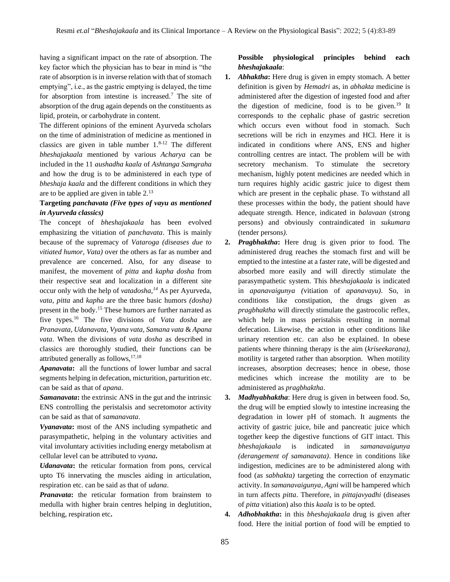having a significant impact on the rate of absorption. The key factor which the physician has to bear in mind is "the rate of absorption is in inverse relation with that of stomach emptying", i.e., as the gastric emptying is delayed, the time for absorption from intestine is increased.<sup>7</sup> The site of absorption of the drug again depends on the constituents as lipid, protein, or carbohydrate in content.

The different opinions of the eminent Ayurveda scholars on the time of administration of medicine as mentioned in classics are given in table number  $1.^{8-12}$ . The different *bheshajakaala* mentioned by various *Acharya* can be included in the 11 *aushadha kaala* of *Ashtanga Samgraha* and how the drug is to be administered in each type of *bheshaja kaala* and the different conditions in which they are to be applied are given in table 2.<sup>13</sup>

### **Targeting** *panchavata (Five types of vayu as mentioned in Ayurveda classics)*

The concept of *bheshajakaala* has been evolved emphasizing the vitiation of *panchavata*. This is mainly because of the supremacy of *Vataroga (diseases due to vitiated humor, Vata)* over the others as far as number and prevalence are concerned. Also, for any disease to manifest, the movement of *pitta* and *kapha dosha* from their respective seat and localization in a different site occur only with the help of *vatadosha,<sup>14</sup>* As per Ayurveda, *vata, pitta* and *kapha* are the three basic humors *(dosha)* present in the body.<sup>15</sup> These humors are further narrated as five types.<sup>16</sup> The five divisions of *Vata dosha* are *Pranavata, Udanavata, Vyana vata, Samana vata* & *Apana vata*. When the divisions of *vata dosha* as described in classics are thoroughly studied, their functions can be attributed generally as follows,17,18

*Apanavata***:** all the functions of lower lumbar and sacral segments helping in defecation, micturition, parturition etc. can be said as that of *apana*.

*Samanavata***:** the extrinsic ANS in the gut and the intrinsic ENS controlling the peristalsis and secretomotor activity can be said as that of *samanavata*.

*Vyanavata***:** most of the ANS including sympathetic and parasympathetic, helping in the voluntary activities and vital involuntary activities including energy metabolism at cellular level can be attributed to *vyana***.**

*Udanavata***:** the reticular formation from pons, cervical upto T6 innervating the muscles aiding in articulation, respiration etc. can be said as that of *udana*.

*Pranavata*: the reticular formation from brainstem to medulla with higher brain centres helping in deglutition, belching, respiration etc**.** 

### **Possible physiological principles behind each**  *bheshajakaala*:

- **1.** *Abhaktha***:** Here drug is given in empty stomach. A better definition is given by *Hemadri* as, in *abhakta* medicine is administered after the digestion of ingested food and after the digestion of medicine, food is to be given.<sup>19</sup> It corresponds to the cephalic phase of gastric secretion which occurs even without food in stomach. Such secretions will be rich in enzymes and HCl. Here it is indicated in conditions where ANS, ENS and higher controlling centres are intact. The problem will be with secretory mechanism. To stimulate the secretory mechanism, highly potent medicines are needed which in turn requires highly acidic gastric juice to digest them which are present in the cephalic phase. To withstand all these processes within the body, the patient should have adequate strength. Hence, indicated in *balavaan* (strong persons) and obviously contraindicated in *sukumara* (tender persons*)*.
- **2.** *Pragbhaktha***:** Here drug is given prior to food. The administered drug reaches the stomach first and will be emptied to the intestine at a faster rate, will be digested and absorbed more easily and will directly stimulate the parasympathetic system. This *bheshajakaala* is indicated in *apanavaigunya (*vitiation of *apanavayu)*. So, in conditions like constipation, the drugs given as *pragbhaktha* will directly stimulate the gastrocolic reflex, which help in mass peristalsis resulting in normal defecation. Likewise, the action in other conditions like urinary retention etc. can also be explained. In obese patients where thinning therapy is the aim (*kriseekarana)*, motility is targeted rather than absorption. When motility increases, absorption decreases; hence in obese, those medicines which increase the motility are to be administered as *pragbhaktha*.
- **3.** *Madhyabhaktha*: Here drug is given in between food. So, the drug will be emptied slowly to intestine increasing the degradation in lower pH of stomach. It augments the activity of gastric juice, bile and pancreatic juice which together keep the digestive functions of GIT intact. This *bheshajakaala* is indicated in *samanavaigunya (derangement of samanavata)*. Hence in conditions like indigestion, medicines are to be administered along with food (as *sabhakta)* targeting the correction of enzymatic activity. In *samanavaigunya*, *Agni* will be hampered which in turn affects *pitta*. Therefore, in *pittajavyadhi* (diseases of *pitta* vitiation) also this *kaala* is to be opted.
- **4.** *Adhobhaktha***:** in this *bheshajakaala* drug is given after food. Here the initial portion of food will be emptied to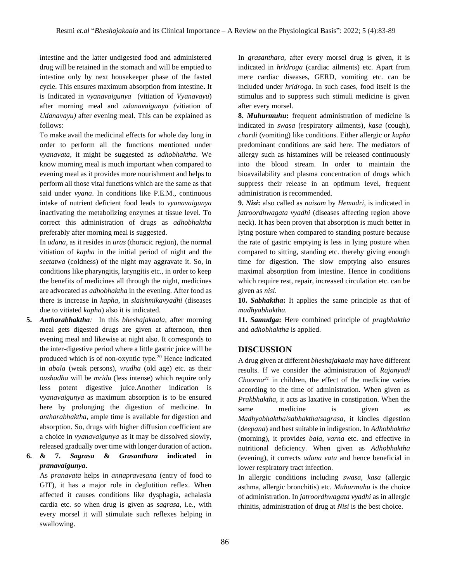intestine and the latter undigested food and administered drug will be retained in the stomach and will be emptied to intestine only by next housekeeper phase of the fasted cycle. This ensures maximum absorption from intestine**.** It is Indicated in *vyanavaigunya* (vitiation of *Vyanavayu*) after morning meal and *udanavaigunya (*vitiation of *Udanavayu)* after evening meal. This can be explained as follows:

To make avail the medicinal effects for whole day long in order to perform all the functions mentioned under *vyanavata*, it might be suggested as *adhobhaktha*. We know morning meal is much important when compared to evening meal as it provides more nourishment and helps to perform all those vital functions which are the same as that said under *vyana*. In conditions like P.E.M., continuous intake of nutrient deficient food leads to *vyanavaigunya* inactivating the metabolizing enzymes at tissue level. To correct this administration of drugs as *adhobhaktha* preferably after morning meal is suggested.

In *udana*, as it resides in *uras* (thoracic region), the normal vitiation of *kapha* in the initial period of night and the *seetatwa* (coldness) of the night may aggravate it. So, in conditions like pharyngitis, laryngitis etc., in order to keep the benefits of medicines all through the night, medicines are advocated as *adhobhaktha* in the evening. After food as there is increase in *kapha*, in *slaishmikavyadhi* (diseases due to vitiated *kapha*) also it is indicated.

- **5.** *Antharabhaktha:* In this *bheshajakaala,* after morning meal gets digested drugs are given at afternoon, then evening meal and likewise at night also. It corresponds to the inter-digestive period where a little gastric juice will be produced which is of non-oxyntic type.<sup>20</sup> Hence indicated in *abala* (weak persons), *vrudha* (old age) etc. as their *oushadha* will be *mridu* (less intense) which require only less potent digestive juice.Another indication is *vyanavaigunya* as maximum absorption is to be ensured here by prolonging the digestion of medicine. In *antharabhaktha*, ample time is available for digestion and absorption. So, drugs with higher diffusion coefficient are a choice in *vyanavaigunya* as it may be dissolved slowly, released gradually over time with longer duration of action**.**
- **6. & 7.** *Sagrasa* **&** *Grasanthara* **indicated in**  *pranavaigunya***.**

As *pranavata* helps in *annapravesana* (entry of food to GIT), it has a major role in deglutition reflex. When affected it causes conditions like dysphagia, achalasia cardia etc. so when drug is given as *sagrasa*, i.e., with every morsel it will stimulate such reflexes helping in swallowing.

In *grasanthara,* after every morsel drug is given, it is indicated in *hridroga* (cardiac ailments) etc. Apart from mere cardiac diseases, GERD, vomiting etc. can be included under *hridroga*. In such cases, food itself is the stimulus and to suppress such stimuli medicine is given after every morsel.

**8.** *Muhurmuhu***:** frequent administration of medicine is indicated in *swasa* (respiratory ailments), *kasa* (cough), *chardi* (vomiting) like conditions. Either allergic or *kapha* predominant conditions are said here. The mediators of allergy such as histamines will be released continuously into the blood stream. In order to maintain the bioavailability and plasma concentration of drugs which suppress their release in an optimum level, frequent administration is recommended.

**9.** *Nisi***:** also called as *naisam* by *Hemadri*, is indicated in *jatroordhwagata vyadhi* (diseases affecting region above neck). It has been proven that absorption is much better in lying posture when compared to standing posture because the rate of gastric emptying is less in lying posture when compared to sitting, standing etc. thereby giving enough time for digestion. The slow emptying also ensures maximal absorption from intestine. Hence in conditions which require rest, repair, increased circulation etc. can be given as *nisi*.

**10.** *Sabhaktha***:** It applies the same principle as that of *madhyabhaktha.*

**11.** *Samudga***:** Here combined principle of *pragbhaktha* and *adhobhaktha* is applied.

# **DISCUSSION**

A drug given at different *bheshajakaala* may have different results. If we consider the administration of *Rajanyadi Choorna<sup>21</sup>* in children, the effect of the medicine varies according to the time of administration. When given as *Prakbhaktha*, it acts as laxative in constipation. When the same medicine is given as *Madhyabhaktha*/*sabhaktha*/*sagrasa,* it kindles digestion (*deepana*) and best suitable in indigestion. In *Adhobhaktha*  (morning), it provides *bala*, *varna* etc. and effective in nutritional deficiency. When given as *Adhobhaktha*  (evening), it corrects *udana vata* and hence beneficial in lower respiratory tract infection.

In allergic conditions including *swasa*, *kasa* (allergic asthma, allergic bronchitis) etc. *Muhurmuhu* is the choice of administration. In *jatroordhwagata vyadhi* as in allergic rhinitis, administration of drug at *Nisi* is the best choice.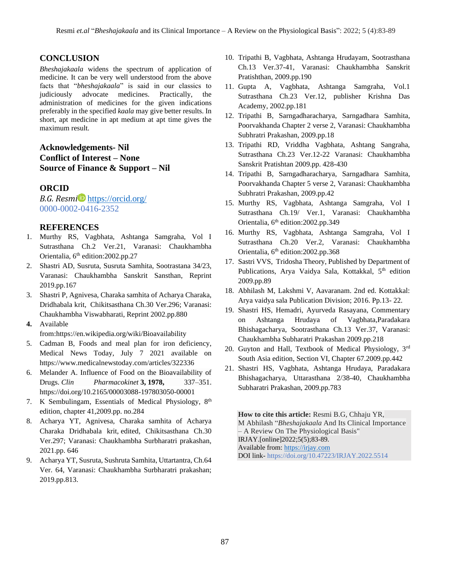### **CONCLUSION**

*Bheshajakaala* widens the spectrum of application of medicine. It can be very well understood from the above facts that "*bheshajakaala*" is said in our classics to judiciously advocate medicines. Practically, the administration of medicines for the given indications preferably in the specified *kaala* may give better results. In short, apt medicine in apt medium at apt time gives the maximum result.

# **Acknowledgements- Nil Conflict of Interest – None Source of Finance & Support – Nil**

### **ORCID**

*B.G. Resmi* <https://orcid.org/> 0000-0002-0416-2352

### **REFERENCES**

- 1. Murthy RS, Vagbhata, Ashtanga Samgraha, Vol I Sutrasthana Ch.2 Ver.21, Varanasi: Chaukhambha Orientalia, 6<sup>th</sup> edition: 2002.pp. 27
- 2. Shastri AD, Susruta, Susruta Samhita, Sootrastana 34/23, Varanasi: Chaukhambha Sanskrit Sansthan, Reprint 2019.pp.167
- 3. Shastri P, Agnivesa, Charaka samhita of Acharya Charaka, Dridhabala krit, Chikitsasthana Ch.30 Ver.296; Varanasi: Chaukhambha Viswabharati, Reprint 2002.pp.880
- **4.** Available

from[:https://en.wikipedia.org/wiki/Bioavailability](https://en.wikipedia.org/wiki/Bioavailability)

- 5. Cadman B, Foods and meal plan for iron deficiency, Medical News Today, July 7 2021 available on <https://www.medicalnewstoday.com/articles/322336>
- 6. Melander A. Influence of Food on the Bioavailability of Drugs. *Clin Pharmacokinet* **3, 1978,** 337–351. <https://doi.org/10.2165/00003088-197803050-00001>
- 7. K Sembulingam, Essentials of Medical Physiology, 8<sup>th</sup> edition, chapter 41,2009.pp. no.284
- 8. Acharya YT, Agnivesa, Charaka samhita of Acharya Charaka Dridhabala krit, edited, Chikitsasthana Ch.30 Ver.297; Varanasi: Chaukhambha Surbharatri prakashan, 2021.pp. 646
- 9. Acharya YT, Susruta, Sushruta Samhita, Uttartantra, Ch.64 Ver. 64, Varanasi: Chaukhambha Surbharatri prakashan; 2019.pp.813.
- 10. Tripathi B, Vagbhata, Ashtanga Hrudayam, Sootrasthana Ch.13 Ver.37-41, Varanasi: Chaukhambha Sanskrit Pratishthan, 2009.pp.190
- 11. Gupta A, Vagbhata, Ashtanga Samgraha, Vol.1 Sutrasthana Ch.23 Ver.12, publisher Krishna Das Academy, 2002.pp.181
- 12. Tripathi B, Sarngadharacharya, Sarngadhara Samhita, Poorvakhanda Chapter 2 verse 2, Varanasi: Chaukhambha Subhratri Prakashan, 2009.pp.18
- 13. Tripathi RD, Vriddha Vagbhata, Ashtang Sangraha, Sutrasthana Ch.23 Ver.12-22 Varanasi: Chaukhambha Sanskrit Pratishtan 2009.pp. 428-430
- 14. Tripathi B, Sarngadharacharya, Sarngadhara Samhita, Poorvakhanda Chapter 5 verse 2, Varanasi: Chaukhambha Subhratri Prakashan, 2009.pp.42
- 15. Murthy RS, Vagbhata, Ashtanga Samgraha, Vol I Sutrasthana Ch.19/ Ver.1, Varanasi: Chaukhambha Orientalia, 6<sup>th</sup> edition: 2002.pp. 349
- 16. Murthy RS, Vagbhata, Ashtanga Samgraha, Vol I Sutrasthana Ch.20 Ver.2, Varanasi: Chaukhambha Orientalia, 6<sup>th</sup> edition: 2002.pp.368
- 17. Sastri VVS, Tridosha Theory, Published by Department of Publications, Arya Vaidya Sala, Kottakkal, 5<sup>th</sup> edition 2009.pp.89
- 18. Abhilash M, Lakshmi V, Aavaranam. 2nd ed. Kottakkal: Arya vaidya sala Publication Division; 2016. Pp.13- 22.
- 19. Shastri HS, Hemadri, Ayurveda Rasayana, Commentary on Ashtanga Hrudaya of Vagbhata,Paradakara Bhishagacharya, Sootrasthana Ch.13 Ver.37, Varanasi: Chaukhambha Subharatri Prakashan 2009.pp.218
- 20. Guyton and Hall, Textbook of Medical Physiology, 3rd South Asia edition, Section VI, Chapter 67.2009.pp.442
- 21. Shastri HS, Vagbhata, Ashtanga Hrudaya, Paradakara Bhishagacharya, Uttarasthana 2/38-40, Chaukhambha Subharatri Prakashan, 2009.pp.783

**How to cite this article:** Resmi B.G, Chhaju YR, M Abhilash "*Bheshajakaala* And Its Clinical Importance – A Review On The Physiological Basis" IRJAY.[online]2022;5(5);83-89. Available from: [https://irjay.com](https://irjay.com/) DOI link- https://doi.org/10.47223/IRJAY.2022.5514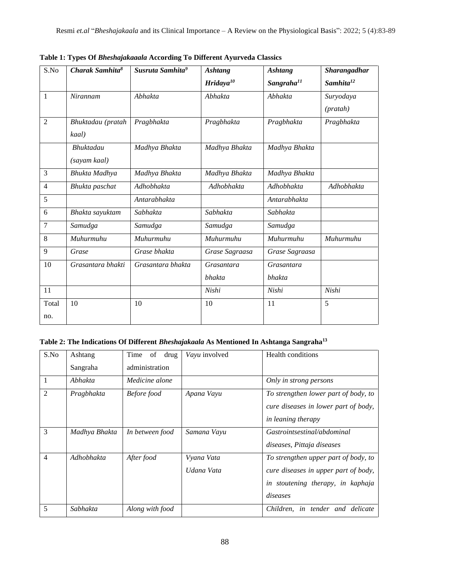| S.No           | Charak Samhita <sup>8</sup> | Susruta Samhita <sup>9</sup> | <b>Ashtang</b> | <b>Ashtang</b>         | Sharangadhar          |
|----------------|-----------------------------|------------------------------|----------------|------------------------|-----------------------|
|                |                             |                              | Hridaya $10$   | Sangraha <sup>11</sup> | Samhita <sup>12</sup> |
| $\mathbf{1}$   | Nirannam                    | Abhakta                      | Abhakta        | Abhakta                | Suryodaya             |
|                |                             |                              |                |                        | (pratah)              |
| $\overline{2}$ | Bhuktadau (pratah           | Pragbhakta                   | Pragbhakta     | Pragbhakta             | Pragbhakta            |
|                | kaal)                       |                              |                |                        |                       |
|                | Bhuktadau                   | Madhya Bhakta                | Madhya Bhakta  | Madhya Bhakta          |                       |
|                | (sayam kaal)                |                              |                |                        |                       |
| 3              | Bhukta Madhya               | Madhya Bhakta                | Madhya Bhakta  | Madhya Bhakta          |                       |
| $\overline{4}$ | Bhukta paschat              | Adhobhakta                   | Adhobhakta     | Adhobhakta             | Adhobhakta            |
| 5              |                             | Antarabhakta                 |                | Antarabhakta           |                       |
| 6              | Bhakta sayuktam             | Sabhakta                     | Sabhakta       | Sabhakta               |                       |
| 7              | Samudga                     | Samudga                      | Samudga        | Samudga                |                       |
| 8              | Muhurmuhu                   | Muhurmuhu                    | Muhurmuhu      | Muhurmuhu              | Muhurmuhu             |
| 9              | Grase                       | Grase bhakta                 | Grase Sagraasa | Grase Sagraasa         |                       |
| 10             | Grasantara bhakti           | Grasantara bhakta            | Grasantara     | Grasantara             |                       |
|                |                             |                              | bhakta         | <b>bhakta</b>          |                       |
| 11             |                             |                              | Nishi          | Nishi                  | Nishi                 |
| Total          | 10                          | 10                           | 10             | 11                     | 5                     |
| no.            |                             |                              |                |                        |                       |

**Table 1: Types Of** *Bheshajakaaala* **According To Different Ayurveda Classics**

# **Table 2: The Indications Of Different** *Bheshajakaala* **As Mentioned In Ashtanga Sangraha<sup>13</sup>**

| S.No           | Ashtang       | Time<br>of<br>drug | Vayu involved            | <b>Health conditions</b>                                                                                                      |
|----------------|---------------|--------------------|--------------------------|-------------------------------------------------------------------------------------------------------------------------------|
|                | Sangraha      | administration     |                          |                                                                                                                               |
| 1              | Abhakta       | Medicine alone     |                          | Only in strong persons                                                                                                        |
| $\mathfrak{D}$ | Pragbhakta    | <b>Before</b> food | Apana Vayu               | To strengthen lower part of body, to<br>cure diseases in lower part of body,<br><i>in leaning therapy</i>                     |
| 3              | Madhya Bhakta | In between food    | Samana Vayu              | Gastrointsestinal/abdominal<br>diseases, Pittaja diseases                                                                     |
| $\overline{4}$ | Adhobhakta    | After food         | Vyana Vata<br>Udana Vata | To strengthen upper part of body, to<br>cure diseases in upper part of body,<br>in stoutening therapy, in kaphaja<br>diseases |
| 5              | Sabhakta      | Along with food    |                          | Children, in tender and delicate                                                                                              |